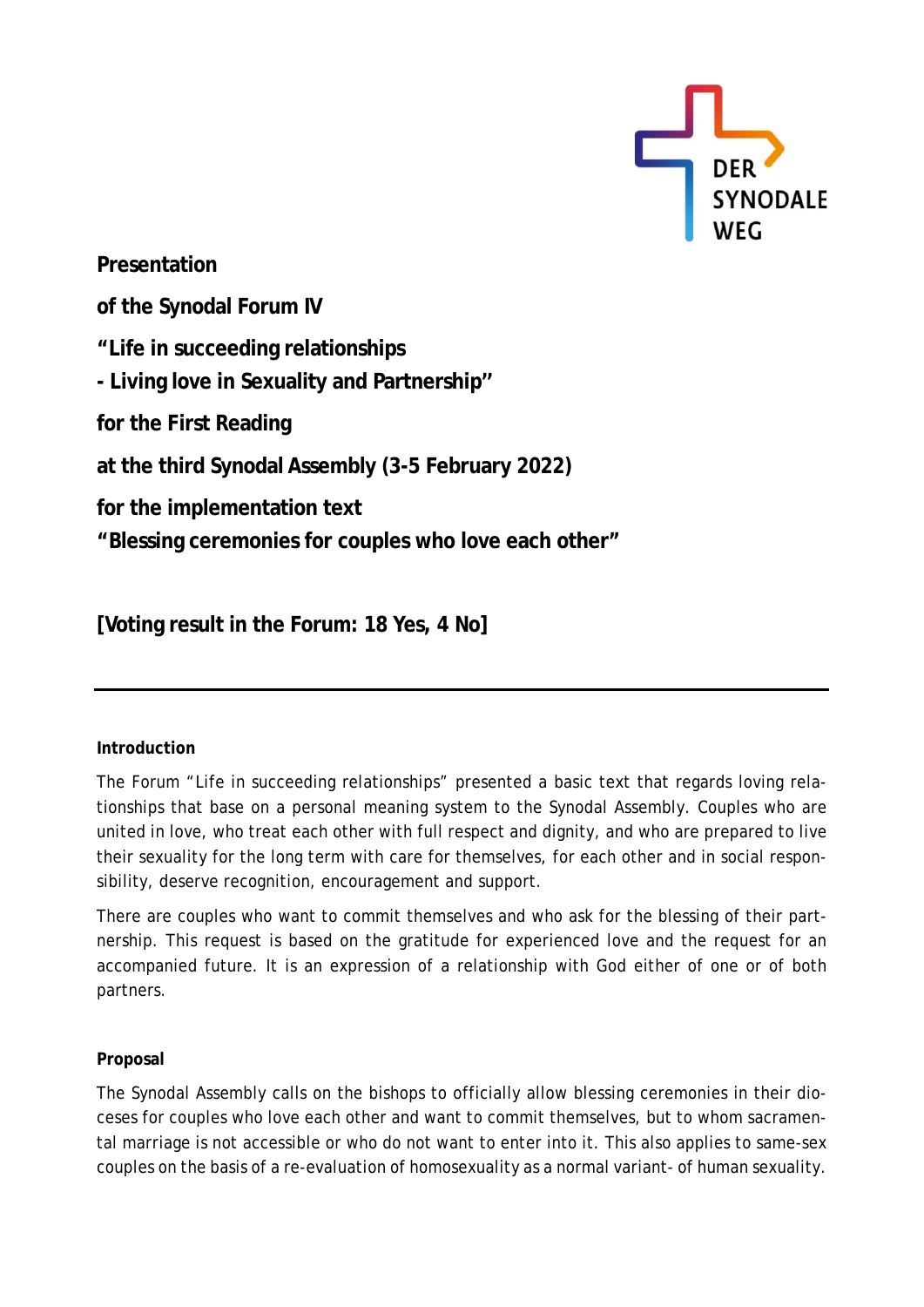

**Presentation of the Synodal Forum IV "Life in succeeding relationships - Living love in Sexuality and Partnership'' for the First Reading at the third Synodal Assembly (3-5 February 2022) for the implementation text "Blessing ceremonies for couples who love each other"**

**[Voting result in the Forum: 18 Yes, 4 No]**

## **Introduction**

The Forum "Life in succeeding relationships" presented a basic text that regards loving relationships that base on a personal meaning system to the Synodal Assembly. Couples who are united in love, who treat each other with full respect and dignity, and who are prepared to live their sexuality for the long term with care for themselves, for each other and in social responsibility, deserve recognition, encouragement and support.

There are couples who want to commit themselves and who ask for the blessing of their partnership. This request is based on the gratitude for experienced love and the request for an accompanied future. It is an expression of a relationship with God either of one or of both partners.

## **Proposal**

The Synodal Assembly calls on the bishops to officially allow blessing ceremonies in their dioceses for couples who love each other and want to commit themselves, but to whom sacramental marriage is not accessible or who do not want to enter into it. This also applies to same-sex couples on the basis of a re-evaluation of homosexuality as a normal variant- of human sexuality.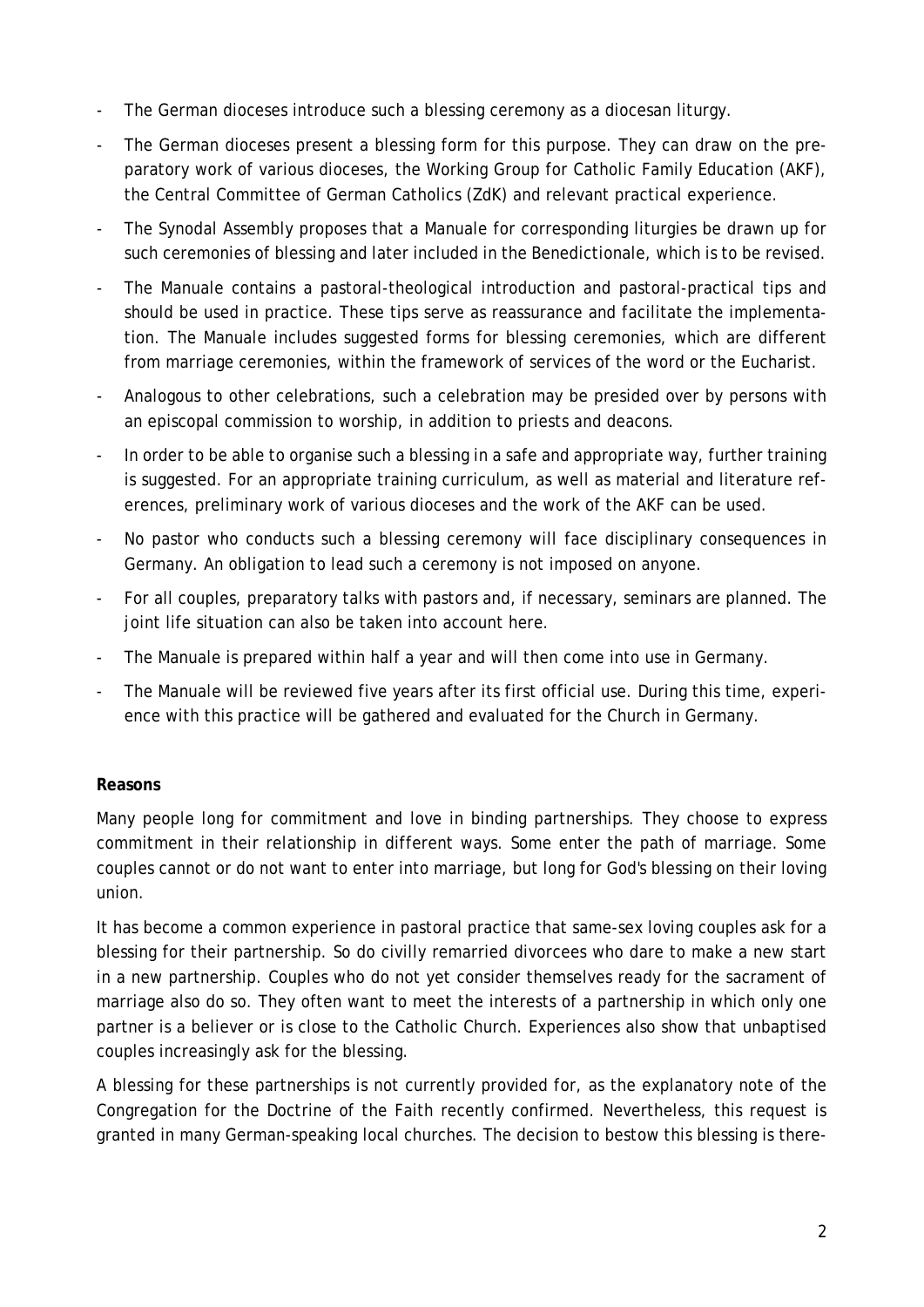- The German dioceses introduce such a blessing ceremony as a diocesan liturgy.
- The German dioceses present a blessing form for this purpose. They can draw on the preparatory work of various dioceses, the Working Group for Catholic Family Education (AKF), the Central Committee of German Catholics (ZdK) and relevant practical experience.
- The Synodal Assembly proposes that a Manuale for corresponding liturgies be drawn up for such ceremonies of blessing and later included in the Benedictionale, which is to be revised.
- The Manuale contains a pastoral-theological introduction and pastoral-practical tips and should be used in practice. These tips serve as reassurance and facilitate the implementation. The Manuale includes suggested forms for blessing ceremonies, which are different from marriage ceremonies, within the framework of services of the word or the Eucharist.
- Analogous to other celebrations, such a celebration may be presided over by persons with an episcopal commission to worship, in addition to priests and deacons.
- In order to be able to organise such a blessing in a safe and appropriate way, further training is suggested. For an appropriate training curriculum, as well as material and literature references, preliminary work of various dioceses and the work of the AKF can be used.
- No pastor who conducts such a blessing ceremony will face disciplinary consequences in Germany. An obligation to lead such a ceremony is not imposed on anyone.
- For all couples, preparatory talks with pastors and, if necessary, seminars are planned. The joint life situation can also be taken into account here.
- The Manuale is prepared within half a year and will then come into use in Germany.
- The Manuale will be reviewed five years after its first official use. During this time, experience with this practice will be gathered and evaluated for the Church in Germany.

## **Reasons**

Many people long for commitment and love in binding partnerships. They choose to express commitment in their relationship in different ways. Some enter the path of marriage. Some couples cannot or do not want to enter into marriage, but long for God's blessing on their loving union.

It has become a common experience in pastoral practice that same-sex loving couples ask for a blessing for their partnership. So do civilly remarried divorcees who dare to make a new start in a new partnership. Couples who do not yet consider themselves ready for the sacrament of marriage also do so. They often want to meet the interests of a partnership in which only one partner is a believer or is close to the Catholic Church. Experiences also show that unbaptised couples increasingly ask for the blessing.

A blessing for these partnerships is not currently provided for, as the explanatory note of the Congregation for the Doctrine of the Faith recently confirmed. Nevertheless, this request is granted in many German-speaking local churches. The decision to bestow this blessing is there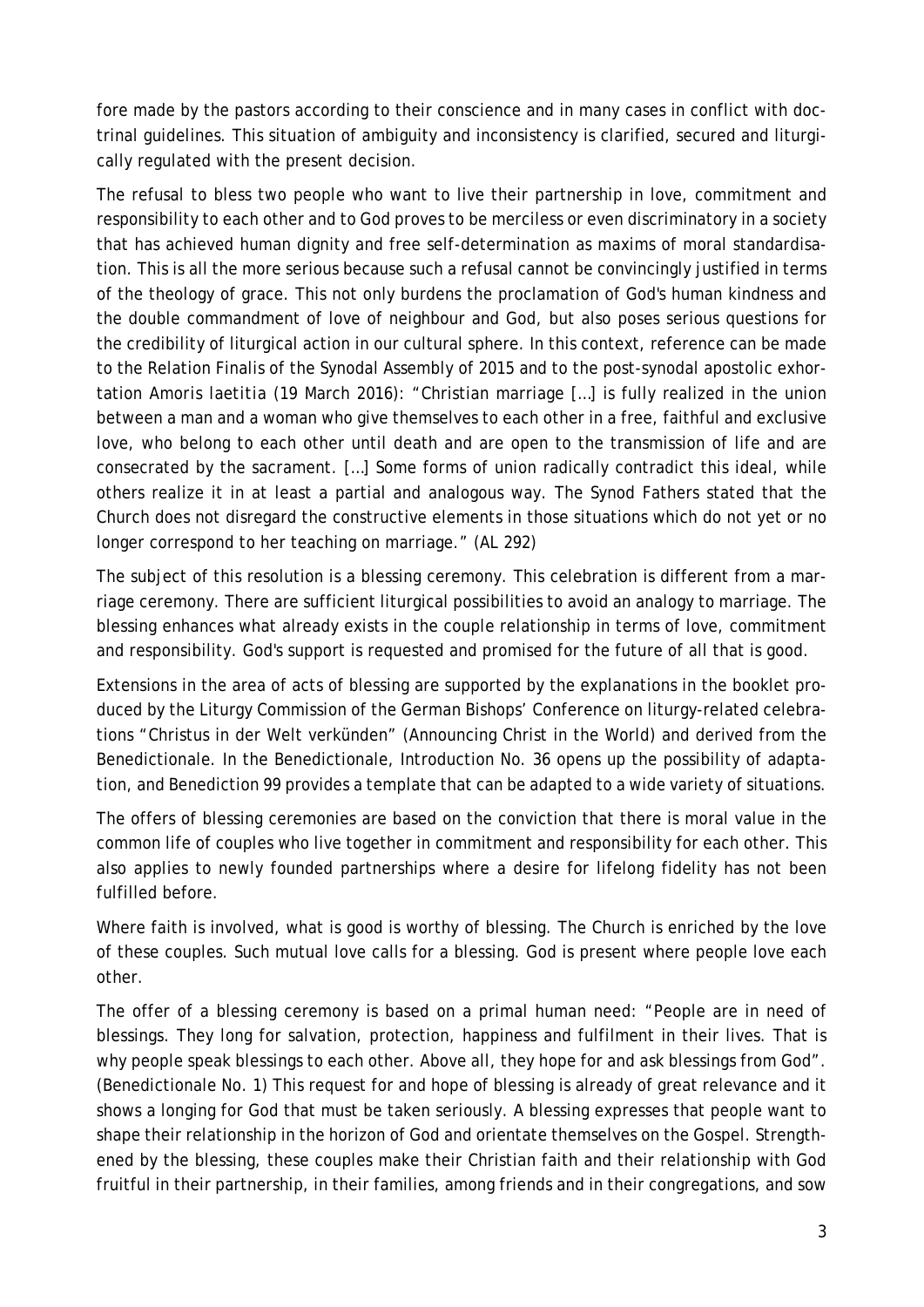fore made by the pastors according to their conscience and in many cases in conflict with doctrinal guidelines. This situation of ambiguity and inconsistency is clarified, secured and liturgically regulated with the present decision.

The refusal to bless two people who want to live their partnership in love, commitment and responsibility to each other and to God proves to be merciless or even discriminatory in a society that has achieved human dignity and free self-determination as maxims of moral standardisation. This is all the more serious because such a refusal cannot be convincingly justified in terms of the theology of grace. This not only burdens the proclamation of God's human kindness and the double commandment of love of neighbour and God, but also poses serious questions for the credibility of liturgical action in our cultural sphere. In this context, reference can be made to the Relation Finalis of the Synodal Assembly of 2015 and to the post-synodal apostolic exhortation *Amoris laetitia* (19 March 2016): "Christian marriage […] is fully realized in the union between a man and a woman who give themselves to each other in a free, faithful and exclusive love, who belong to each other until death and are open to the transmission of life and are consecrated by the sacrament. […] Some forms of union radically contradict this ideal, while others realize it in at least a partial and analogous way. The Synod Fathers stated that the Church does not disregard the constructive elements in those situations which do not yet or no longer correspond to her teaching on marriage." (AL 292)

The subject of this resolution is a blessing ceremony. This celebration is different from a marriage ceremony. There are sufficient liturgical possibilities to avoid an analogy to marriage. The blessing enhances what already exists in the couple relationship in terms of love, commitment and responsibility. God's support is requested and promised for the future of all that is good.

Extensions in the area of acts of blessing are supported by the explanations in the booklet produced by the Liturgy Commission of the German Bishops' Conference on liturgy-related celebrations "Christus in der Welt verkünden" (Announcing Christ in the World) and derived from the Benedictionale. In the Benedictionale, Introduction No. 36 opens up the possibility of adaptation, and Benediction 99 provides a template that can be adapted to a wide variety of situations.

The offers of blessing ceremonies are based on the conviction that there is moral value in the common life of couples who live together in commitment and responsibility for each other. This also applies to newly founded partnerships where a desire for lifelong fidelity has not been fulfilled before.

Where faith is involved, what is good is worthy of blessing. The Church is enriched by the love of these couples. Such mutual love calls for a blessing. God is present where people love each other.

The offer of a blessing ceremony is based on a primal human need: "People are in need of blessings. They long for salvation, protection, happiness and fulfilment in their lives. That is why people speak blessings to each other. Above all, they hope for and ask blessings from God". (Benedictionale No. 1) This request for and hope of blessing is already of great relevance and it shows a longing for God that must be taken seriously. A blessing expresses that people want to shape their relationship in the horizon of God and orientate themselves on the Gospel. Strengthened by the blessing, these couples make their Christian faith and their relationship with God fruitful in their partnership, in their families, among friends and in their congregations, and sow